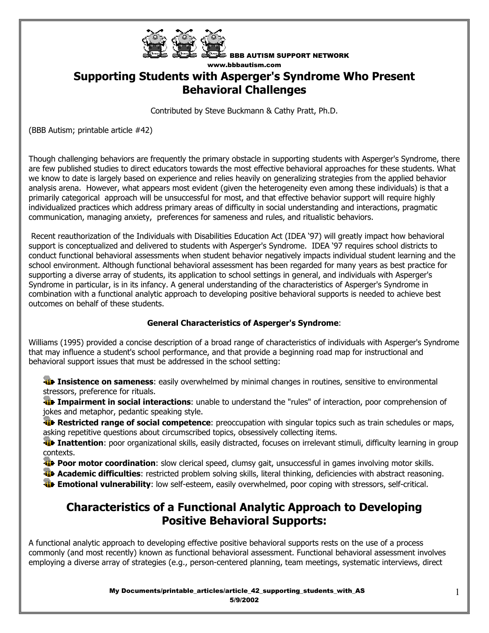

BBB AUTISM SUPPORT NETWORK w.bbbautism.com

# **Supporting Students with Asperger's Syndrome Who Present Behavioral Challenges**

Contributed by Steve Buckmann & Cathy Pratt, Ph.D.

(BBB Autism; printable article #42)

Though challenging behaviors are frequently the primary obstacle in supporting students with Asperger's Syndrome, there are few published studies to direct educators towards the most effective behavioral approaches for these students. What we know to date is largely based on experience and relies heavily on generalizing strategies from the applied behavior analysis arena. However, what appears most evident (given the heterogeneity even among these individuals) is that a primarily categorical approach will be unsuccessful for most, and that effective behavior support will require highly individualized practices which address primary areas of difficulty in social understanding and interactions, pragmatic communication, managing anxiety, preferences for sameness and rules, and ritualistic behaviors.

 Recent reauthorization of the Individuals with Disabilities Education Act (IDEA '97) will greatly impact how behavioral support is conceptualized and delivered to students with Asperger's Syndrome. IDEA '97 requires school districts to conduct functional behavioral assessments when student behavior negatively impacts individual student learning and the school environment. Although functional behavioral assessment has been regarded for many years as best practice for supporting a diverse array of students, its application to school settings in general, and individuals with Asperger's Syndrome in particular, is in its infancy. A general understanding of the characteristics of Asperger's Syndrome in combination with a functional analytic approach to developing positive behavioral supports is needed to achieve best outcomes on behalf of these students.

#### **General Characteristics of Asperger's Syndrome**:

Williams (1995) provided a concise description of a broad range of characteristics of individuals with Asperger's Syndrome that may influence a student's school performance, and that provide a beginning road map for instructional and behavioral support issues that must be addressed in the school setting:

**Insistence on sameness**: easily overwhelmed by minimal changes in routines, sensitive to environmental stressors, preference for rituals.

**Impairment in social interactions**: unable to understand the "rules" of interaction, poor comprehension of jokes and metaphor, pedantic speaking style.

*All* Restricted range of social competence: preoccupation with singular topics such as train schedules or maps, asking repetitive questions about circumscribed topics, obsessively collecting items.

**In Inattention**: poor organizational skills, easily distracted, focuses on irrelevant stimuli, difficulty learning in group contexts.

*<b>12 Poor motor coordination: slow clerical speed, clumsy gait, unsuccessful in games involving motor skills.* 

**Academic difficulties**: restricted problem solving skills, literal thinking, deficiencies with abstract reasoning.

**Emotional vulnerability**: low self-esteem, easily overwhelmed, poor coping with stressors, self-critical.

## **Characteristics of a Functional Analytic Approach to Developing Positive Behavioral Supports:**

A functional analytic approach to developing effective positive behavioral supports rests on the use of a process commonly (and most recently) known as functional behavioral assessment. Functional behavioral assessment involves employing a diverse array of strategies (e.g., person-centered planning, team meetings, systematic interviews, direct

> My Documents/printable\_articles/article\_42\_supporting\_students\_with\_AS 5/9/2002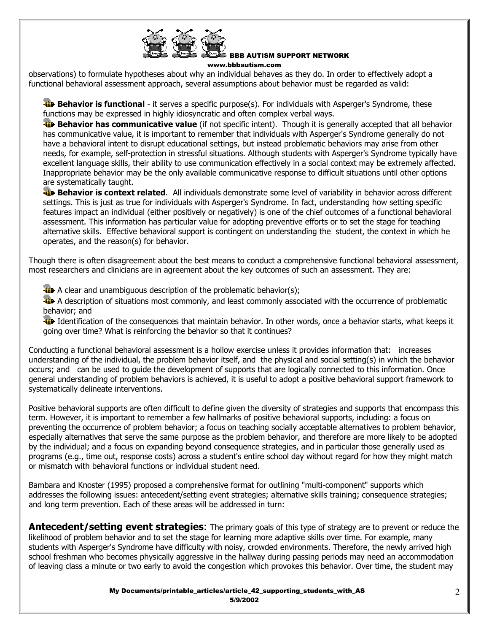

#### BBB AUTISM SUPPORT NETWORK www.bbbautism.com

observations) to formulate hypotheses about why an individual behaves as they do. In order to effectively adopt a functional behavioral assessment approach, several assumptions about behavior must be regarded as valid:

**Behavior is functional** - it serves a specific purpose(s). For individuals with Asperger's Syndrome, these functions may be expressed in highly idiosyncratic and often complex verbal ways.

**Behavior has communicative value** (if not specific intent). Though it is generally accepted that all behavior has communicative value, it is important to remember that individuals with Asperger's Syndrome generally do not have a behavioral intent to disrupt educational settings, but instead problematic behaviors may arise from other needs, for example, self-protection in stressful situations. Although students with Asperger's Syndrome typically have excellent language skills, their ability to use communication effectively in a social context may be extremely affected. Inappropriate behavior may be the only available communicative response to difficult situations until other options are systematically taught.

**Behavior is context related**. All individuals demonstrate some level of variability in behavior across different settings. This is just as true for individuals with Asperger's Syndrome. In fact, understanding how setting specific features impact an individual (either positively or negatively) is one of the chief outcomes of a functional behavioral assessment. This information has particular value for adopting preventive efforts or to set the stage for teaching alternative skills. Effective behavioral support is contingent on understanding the student, the context in which he operates, and the reason(s) for behavior.

Though there is often disagreement about the best means to conduct a comprehensive functional behavioral assessment, most researchers and clinicians are in agreement about the key outcomes of such an assessment. They are:

 $\ddot{a}$  A clear and unambiguous description of the problematic behavior(s);

A description of situations most commonly, and least commonly associated with the occurrence of problematic behavior; and

**IDED** Identification of the consequences that maintain behavior. In other words, once a behavior starts, what keeps it going over time? What is reinforcing the behavior so that it continues?

Conducting a functional behavioral assessment is a hollow exercise unless it provides information that: increases understanding of the individual, the problem behavior itself, and the physical and social setting(s) in which the behavior occurs; and can be used to guide the development of supports that are logically connected to this information. Once general understanding of problem behaviors is achieved, it is useful to adopt a positive behavioral support framework to systematically delineate interventions.

Positive behavioral supports are often difficult to define given the diversity of strategies and supports that encompass this term. However, it is important to remember a few hallmarks of positive behavioral supports, including: a focus on preventing the occurrence of problem behavior; a focus on teaching socially acceptable alternatives to problem behavior, especially alternatives that serve the same purpose as the problem behavior, and therefore are more likely to be adopted by the individual; and a focus on expanding beyond consequence strategies, and in particular those generally used as programs (e.g., time out, response costs) across a student's entire school day without regard for how they might match or mismatch with behavioral functions or individual student need.

Bambara and Knoster (1995) proposed a comprehensive format for outlining "multi-component" supports which addresses the following issues: antecedent/setting event strategies; alternative skills training; consequence strategies; and long term prevention. Each of these areas will be addressed in turn:

**Antecedent/setting event strategies**: The primary goals of this type of strategy are to prevent or reduce the likelihood of problem behavior and to set the stage for learning more adaptive skills over time. For example, many students with Asperger's Syndrome have difficulty with noisy, crowded environments. Therefore, the newly arrived high school freshman who becomes physically aggressive in the hallway during passing periods may need an accommodation of leaving class a minute or two early to avoid the congestion which provokes this behavior. Over time, the student may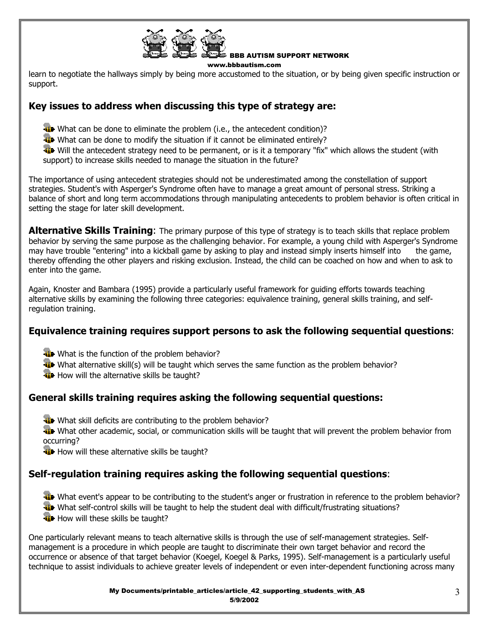

BBB AUTISM SUPPORT NETWORK

w.bbbautism.com

learn to negotiate the hallways simply by being more accustomed to the situation, or by being given specific instruction or support.

## **Key issues to address when discussing this type of strategy are:**

- What can be done to eliminate the problem (i.e., the antecedent condition)?
- What can be done to modify the situation if it cannot be eliminated entirely?

Will the antecedent strategy need to be permanent, or is it a temporary "fix" which allows the student (with support) to increase skills needed to manage the situation in the future?

The importance of using antecedent strategies should not be underestimated among the constellation of support strategies. Student's with Asperger's Syndrome often have to manage a great amount of personal stress. Striking a balance of short and long term accommodations through manipulating antecedents to problem behavior is often critical in setting the stage for later skill development.

**Alternative Skills Training**: The primary purpose of this type of strategy is to teach skills that replace problem behavior by serving the same purpose as the challenging behavior. For example, a young child with Asperger's Syndrome may have trouble "entering" into a kickball game by asking to play and instead simply inserts himself into the game, thereby offending the other players and risking exclusion. Instead, the child can be coached on how and when to ask to enter into the game.

Again, Knoster and Bambara (1995) provide a particularly useful framework for guiding efforts towards teaching alternative skills by examining the following three categories: equivalence training, general skills training, and selfregulation training.

## **Equivalence training requires support persons to ask the following sequential questions**:

- What is the function of the problem behavior?
- What alternative skill(s) will be taught which serves the same function as the problem behavior?
- **How will the alternative skills be taught?**

## **General skills training requires asking the following sequential questions:**

What skill deficits are contributing to the problem behavior?

What other academic, social, or communication skills will be taught that will prevent the problem behavior from occurring?

**How will these alternative skills be taught?** 

## **Self-regulation training requires asking the following sequential questions**:

What event's appear to be contributing to the student's anger or frustration in reference to the problem behavior? What self-control skills will be taught to help the student deal with difficult/frustrating situations?

**How will these skills be taught?** 

One particularly relevant means to teach alternative skills is through the use of self-management strategies. Selfmanagement is a procedure in which people are taught to discriminate their own target behavior and record the occurrence or absence of that target behavior (Koegel, Koegel & Parks, 1995). Self-management is a particularly useful technique to assist individuals to achieve greater levels of independent or even inter-dependent functioning across many

> My Documents/printable\_articles/article\_42\_supporting\_students\_with\_AS 5/9/2002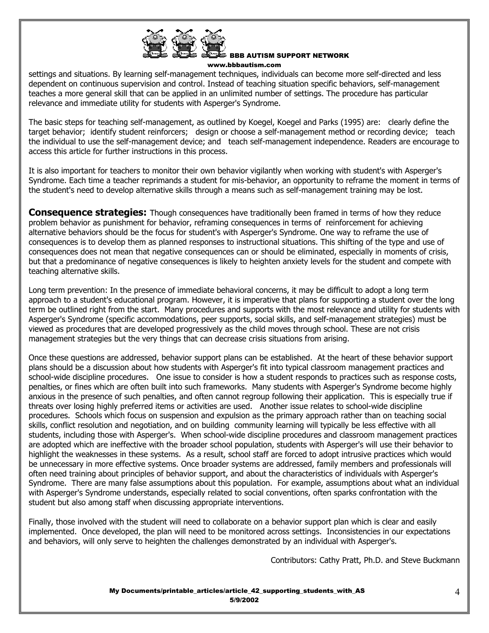

#### BBB AUTISM SUPPORT NETWORK

www.bbbautism.com

settings and situations. By learning self-management techniques, individuals can become more self-directed and less dependent on continuous supervision and control. Instead of teaching situation specific behaviors, self-management teaches a more general skill that can be applied in an unlimited number of settings. The procedure has particular relevance and immediate utility for students with Asperger's Syndrome.

The basic steps for teaching self-management, as outlined by Koegel, Koegel and Parks (1995) are: clearly define the target behavior; identify student reinforcers; design or choose a self-management method or recording device; teach the individual to use the self-management device; and teach self-management independence. Readers are encourage to access this article for further instructions in this process.

It is also important for teachers to monitor their own behavior vigilantly when working with student's with Asperger's Syndrome. Each time a teacher reprimands a student for mis-behavior, an opportunity to reframe the moment in terms of the student's need to develop alternative skills through a means such as self-management training may be lost.

**Consequence strategies:** Though consequences have traditionally been framed in terms of how they reduce problem behavior as punishment for behavior, reframing consequences in terms of reinforcement for achieving alternative behaviors should be the focus for student's with Asperger's Syndrome. One way to reframe the use of consequences is to develop them as planned responses to instructional situations. This shifting of the type and use of consequences does not mean that negative consequences can or should be eliminated, especially in moments of crisis, but that a predominance of negative consequences is likely to heighten anxiety levels for the student and compete with teaching alternative skills.

Long term prevention: In the presence of immediate behavioral concerns, it may be difficult to adopt a long term approach to a student's educational program. However, it is imperative that plans for supporting a student over the long term be outlined right from the start. Many procedures and supports with the most relevance and utility for students with Asperger's Syndrome (specific accommodations, peer supports, social skills, and self-management strategies) must be viewed as procedures that are developed progressively as the child moves through school. These are not crisis management strategies but the very things that can decrease crisis situations from arising.

Once these questions are addressed, behavior support plans can be established. At the heart of these behavior support plans should be a discussion about how students with Asperger's fit into typical classroom management practices and school-wide discipline procedures. One issue to consider is how a student responds to practices such as response costs, penalties, or fines which are often built into such frameworks. Many students with Asperger's Syndrome become highly anxious in the presence of such penalties, and often cannot regroup following their application. This is especially true if threats over losing highly preferred items or activities are used. Another issue relates to school-wide discipline procedures. Schools which focus on suspension and expulsion as the primary approach rather than on teaching social skills, conflict resolution and negotiation, and on building community learning will typically be less effective with all students, including those with Asperger's. When school-wide discipline procedures and classroom management practices are adopted which are ineffective with the broader school population, students with Asperger's will use their behavior to highlight the weaknesses in these systems. As a result, school staff are forced to adopt intrusive practices which would be unnecessary in more effective systems. Once broader systems are addressed, family members and professionals will often need training about principles of behavior support, and about the characteristics of individuals with Asperger's Syndrome. There are many false assumptions about this population. For example, assumptions about what an individual with Asperger's Syndrome understands, especially related to social conventions, often sparks confrontation with the student but also among staff when discussing appropriate interventions.

Finally, those involved with the student will need to collaborate on a behavior support plan which is clear and easily implemented. Once developed, the plan will need to be monitored across settings. Inconsistencies in our expectations and behaviors, will only serve to heighten the challenges demonstrated by an individual with Asperger's.

Contributors: Cathy Pratt, Ph.D. and Steve Buckmann